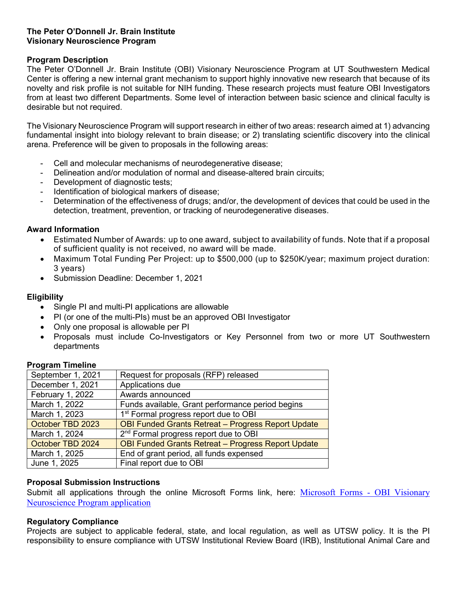## **The Peter O'Donnell Jr. Brain Institute Visionary Neuroscience Program**

## **Program Description**

The Peter O'Donnell Jr. Brain Institute (OBI) Visionary Neuroscience Program at UT Southwestern Medical Center is offering a new internal grant mechanism to support highly innovative new research that because of its novelty and risk profile is not suitable for NIH funding. These research projects must feature OBI Investigators from at least two different Departments. Some level of interaction between basic science and clinical faculty is desirable but not required.

The Visionary Neuroscience Program will support research in either of two areas: research aimed at 1) advancing fundamental insight into biology relevant to brain disease; or 2) translating scientific discovery into the clinical arena. Preference will be given to proposals in the following areas:

- Cell and molecular mechanisms of neurodegenerative disease;
- Delineation and/or modulation of normal and disease-altered brain circuits;
- Development of diagnostic tests;
- Identification of biological markers of disease;
- Determination of the effectiveness of drugs; and/or, the development of devices that could be used in the detection, treatment, prevention, or tracking of neurodegenerative diseases.

## **Award Information**

- Estimated Number of Awards: up to one award, subject to availability of funds. Note that if a proposal of sufficient quality is not received, no award will be made.
- Maximum Total Funding Per Project: up to \$500,000 (up to \$250K/year; maximum project duration: 3 years)
- Submission Deadline: December 1, 2021

# **Eligibility**

- Single PI and multi-PI applications are allowable
- PI (or one of the multi-PIs) must be an approved OBI Investigator
- Only one proposal is allowable per PI
- Proposals must include Co-Investigators or Key Personnel from two or more UT Southwestern departments

## **Program Timeline**

| Request for proposals (RFP) released                      |  |
|-----------------------------------------------------------|--|
| Applications due                                          |  |
| Awards announced                                          |  |
| Funds available, Grant performance period begins          |  |
| 1 <sup>st</sup> Formal progress report due to OBI         |  |
| <b>OBI Funded Grants Retreat - Progress Report Update</b> |  |
| 2 <sup>nd</sup> Formal progress report due to OBI         |  |
| <b>OBI Funded Grants Retreat - Progress Report Update</b> |  |
| End of grant period, all funds expensed                   |  |
| Final report due to OBI                                   |  |
|                                                           |  |

## **Proposal Submission Instructions**

Submit all applications through the online Microsoft Forms link, here: Microsoft Forms - OBI Visionary [Neuroscience Program application](https://forms.office.com/Pages/ResponsePage.aspx?id=lYZBnaxxMUy1ssGWyOw8in0nnORaT6VMhzrxSmKOOnlUNUUxNEZHVTVKVldNRjhYOUNGWlZVUlFTUS4u)

## **Regulatory Compliance**

Projects are subject to applicable federal, state, and local regulation, as well as UTSW policy. It is the PI responsibility to ensure compliance with UTSW Institutional Review Board (IRB), Institutional Animal Care and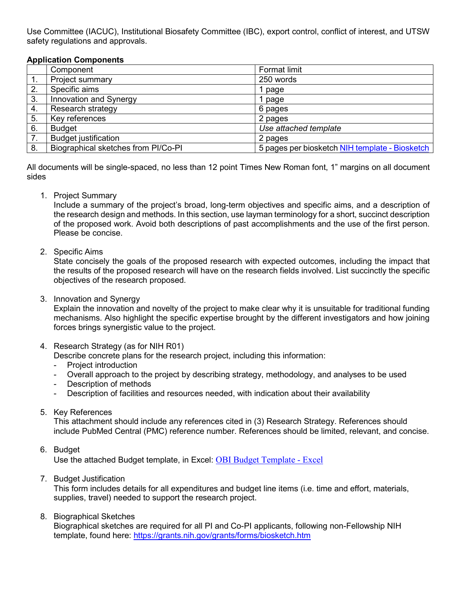Use Committee (IACUC), Institutional Biosafety Committee (IBC), export control, conflict of interest, and UTSW safety regulations and approvals.

## **Application Components**

|    | Component                           | <b>Format limit</b>                            |
|----|-------------------------------------|------------------------------------------------|
| 1. | Project summary                     | 250 words                                      |
| 2. | Specific aims                       | page                                           |
| 3. | Innovation and Synergy              | page                                           |
| 4. | Research strategy                   | 6 pages                                        |
| 5. | Key references                      | 2 pages                                        |
| 6. | <b>Budget</b>                       | Use attached template                          |
| 7. | <b>Budget justification</b>         | 2 pages                                        |
| 8. | Biographical sketches from PI/Co-PI | 5 pages per biosketch NIH template - Biosketch |

All documents will be single-spaced, no less than 12 point Times New Roman font, 1" margins on all document sides

1. Project Summary

Include a summary of the project's broad, long-term objectives and specific aims, and a description of the research design and methods. In this section, use layman terminology for a short, succinct description of the proposed work. Avoid both descriptions of past accomplishments and the use of the first person. Please be concise.

2. Specific Aims

State concisely the goals of the proposed research with expected outcomes, including the impact that the results of the proposed research will have on the research fields involved. List succinctly the specific objectives of the research proposed.

3. Innovation and Synergy

Explain the innovation and novelty of the project to make clear why it is unsuitable for traditional funding mechanisms. Also highlight the specific expertise brought by the different investigators and how joining forces brings synergistic value to the project.

4. Research Strategy (as for NIH R01)

Describe concrete plans for the research project, including this information:

- Project introduction
- Overall approach to the project by describing strategy, methodology, and analyses to be used
- Description of methods
- Description of facilities and resources needed, with indication about their availability
- 5. Key References

This attachment should include any references cited in (3) Research Strategy. References should include PubMed Central (PMC) reference number. References should be limited, relevant, and concise.

6. Budget

Use the attached Budget template, in Excel: [OBI Budget Template -](https://365utsouthwestern.sharepoint.com/:x:/s/OBISharedDrive/EegDSbquhvtMv6anESHm3esB5QPr05aZrqKoF8tveXSRzQ?e=Rzy0LU) Excel

7. Budget Justification

This form includes details for all expenditures and budget line items (i.e. time and effort, materials, supplies, travel) needed to support the research project.

8. Biographical Sketches

Biographical sketches are required for all PI and Co-PI applicants, following non-Fellowship NIH template, found here:<https://grants.nih.gov/grants/forms/biosketch.htm>